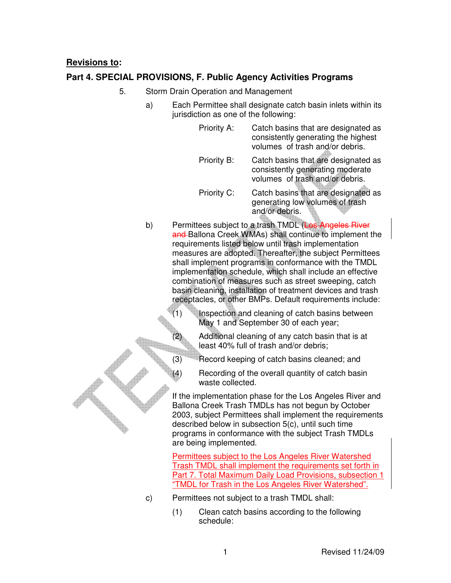## **Revisions to:**

## **Part 4. SPECIAL PROVISIONS, F. Public Agency Activities Programs**

- 5. Storm Drain Operation and Management
	- a) Each Permittee shall designate catch basin inlets within its jurisdiction as one of the following:
		- Priority A: Catch basins that are designated as consistently generating the highest volumes of trash and/or debris.
		- Priority B: Catch basins that are designated as consistently generating moderate volumes of trash and/or debris.
		- Priority C: Catch basins that are designated as generating low volumes of trash and/or debris.
	- b) Permittees subject to a trash TMDL (Los Angeles River and Ballona Creek WMAs) shall continue to implement the requirements listed below until trash implementation measures are adopted. Thereafter, the subject Permittees shall implement programs in conformance with the TMDL implementation schedule, which shall include an effective combination of measures such as street sweeping, catch basin cleaning, installation of treatment devices and trash receptacles, or other BMPs. Default requirements include:
		- (1) Inspection and cleaning of catch basins between May 1 and September 30 of each year;
			- Additional cleaning of any catch basin that is at least 40% full of trash and/or debris;
		- (3) Record keeping of catch basins cleaned; and
		- (4) Recording of the overall quantity of catch basin waste collected.

If the implementation phase for the Los Angeles River and Ballona Creek Trash TMDLs has not begun by October 2003, subject Permittees shall implement the requirements described below in subsection 5(c), until such time programs in conformance with the subject Trash TMDLs are being implemented.

Permittees subject to the Los Angeles River Watershed Trash TMDL shall implement the requirements set forth in Part 7. Total Maximum Daily Load Provisions, subsection 1 "TMDL for Trash in the Los Angeles River Watershed".

- c) Permittees not subject to a trash TMDL shall:
	- (1) Clean catch basins according to the following schedule: